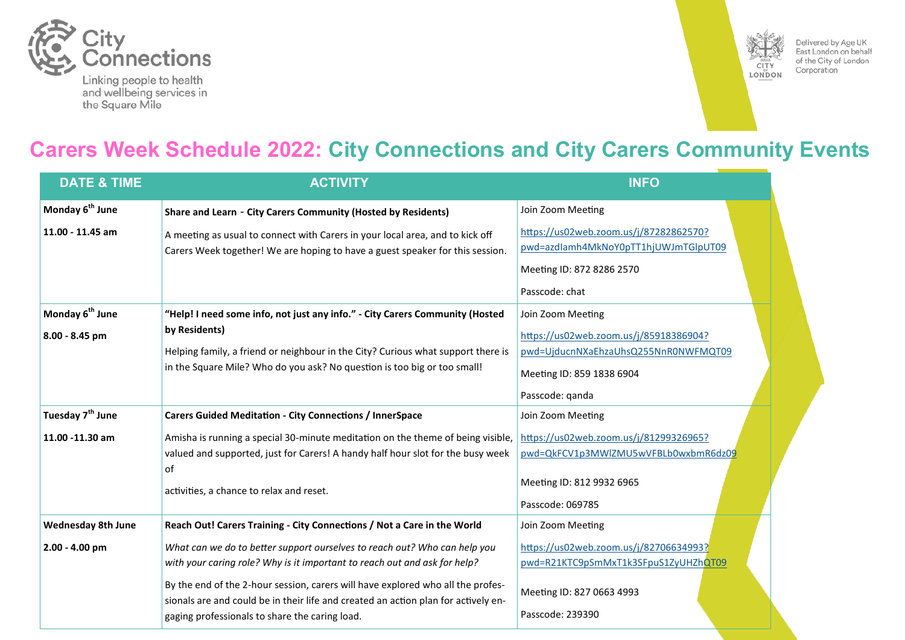



Delivered by Age UK East London on behalf of the City of London Corporation

# **Carers Week Schedule 2022: City Connections and City Carers Community Events**

| <b>DATE &amp; TIME</b>       | <b>ACTIVITY</b>                                                                                                                      | <b>INFO</b>                            |
|------------------------------|--------------------------------------------------------------------------------------------------------------------------------------|----------------------------------------|
| Monday 6 <sup>th</sup> June  | Share and Learn - City Carers Community (Hosted by Residents)                                                                        | Join Zoom Meeting                      |
| 11.00 - 11.45 am             | A meeting as usual to connect with Carers in your local area, and to kick off                                                        | https://us02web.zoom.us/j/87282862570? |
|                              | Carers Week together! We are hoping to have a guest speaker for this session.                                                        | pwd=azdlamh4MkNoY0pTT1hjUWJmTGlpUT09   |
|                              |                                                                                                                                      | Meeting ID: 872 8286 2570              |
|                              |                                                                                                                                      | Passcode: chat                         |
| Monday 6 <sup>th</sup> June  | "Help! I need some info, not just any info." - City Carers Community (Hosted                                                         | Join Zoom Meeting                      |
| 8.00 - 8.45 pm               | by Residents)                                                                                                                        | https://us02web.zoom.us/j/85918386904? |
|                              | Helping family, a friend or neighbour in the City? Curious what support there is                                                     | pwd=UjducnNXaEhzaUhsQ255NnR0NWFMQT09   |
|                              | in the Square Mile? Who do you ask? No question is too big or too small!                                                             | Meeting ID: 859 1838 6904              |
|                              |                                                                                                                                      | Passcode: qanda                        |
| Tuesday 7 <sup>th</sup> June | <b>Carers Guided Meditation - City Connections / InnerSpace</b>                                                                      | Join Zoom Meeting                      |
| 11.00 -11.30 am              | Amisha is running a special 30-minute meditation on the theme of being visible,                                                      | https://us02web.zoom.us/j/81299326965? |
|                              | valued and supported, just for Carers! A handy half hour slot for the busy week                                                      | pwd=QkFCV1p3MWlZMU5wVFBLb0wxbmR6dz09   |
|                              | of                                                                                                                                   | Meeting ID: 812 9932 6965              |
|                              | activities, a chance to relax and reset.                                                                                             | Passcode: 069785                       |
| <b>Wednesday 8th June</b>    | Reach Out! Carers Training - City Connections / Not a Care in the World                                                              | Join Zoom Meeting                      |
| $2.00 - 4.00$ pm             | What can we do to better support ourselves to reach out? Who can help you                                                            | https://us02web.zoom.us/j/82706634993? |
|                              | with your caring role? Why is it important to reach out and ask for help?                                                            | pwd=R21KTC9pSmMxT1k3SFpuS1ZyUHZhQT09   |
|                              | By the end of the 2-hour session, carers will have explored who all the profes-                                                      | Meeting ID: 827 0663 4993              |
|                              | sionals are and could be in their life and created an action plan for actively en-<br>gaging professionals to share the caring load. | Passcode: 239390                       |
|                              |                                                                                                                                      |                                        |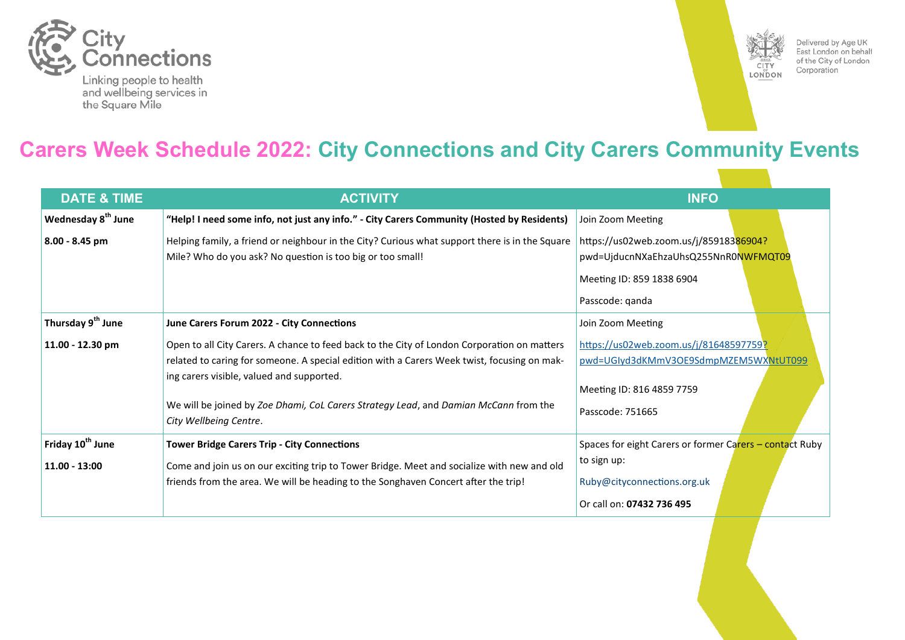



Delivered by Age UK East London on behalf of the City of London Corporation

# **Carers Week Schedule 2022: City Connections and City Carers Community Events**

| <b>DATE &amp; TIME</b>         | <b>ACTIVITY</b>                                                                                                                                                                                                                         | <b>INFO</b>                                                                                                                    |
|--------------------------------|-----------------------------------------------------------------------------------------------------------------------------------------------------------------------------------------------------------------------------------------|--------------------------------------------------------------------------------------------------------------------------------|
| Wednesday 8 <sup>th</sup> June | "Help! I need some info, not just any info." - City Carers Community (Hosted by Residents)                                                                                                                                              | Join Zoom Meeting                                                                                                              |
| 8.00 - 8.45 pm                 | Helping family, a friend or neighbour in the City? Curious what support there is in the Square<br>Mile? Who do you ask? No question is too big or too small!                                                                            | https://us02web.zoom.us/j/85918386904?<br>pwd=UjducnNXaEhzaUhsQ255NnR0NWFMQT09<br>Meeting ID: 859 1838 6904<br>Passcode: qanda |
| Thursday 9 <sup>th</sup> June  | June Carers Forum 2022 - City Connections                                                                                                                                                                                               | Join Zoom Meeting                                                                                                              |
| 11.00 - 12.30 pm               | Open to all City Carers. A chance to feed back to the City of London Corporation on matters<br>related to caring for someone. A special edition with a Carers Week twist, focusing on mak-<br>ing carers visible, valued and supported. | https://us02web.zoom.us/j/81648597759?<br>pwd=UGIyd3dKMmV3OE9SdmpMZEM5WXNtUT099<br>Meeting ID: 816 4859 7759                   |
|                                | We will be joined by Zoe Dhami, CoL Carers Strategy Lead, and Damian McCann from the<br>City Wellbeing Centre.                                                                                                                          | Passcode: 751665                                                                                                               |
| Friday 10 <sup>th</sup> June   | <b>Tower Bridge Carers Trip - City Connections</b>                                                                                                                                                                                      | Spaces for eight Carers or former Carers - contact Ruby                                                                        |
| $11.00 - 13:00$                | Come and join us on our exciting trip to Tower Bridge. Meet and socialize with new and old<br>friends from the area. We will be heading to the Songhaven Concert after the trip!                                                        | to sign up:<br>Ruby@cityconnections.org.uk<br>Or call on: 07432 736 495                                                        |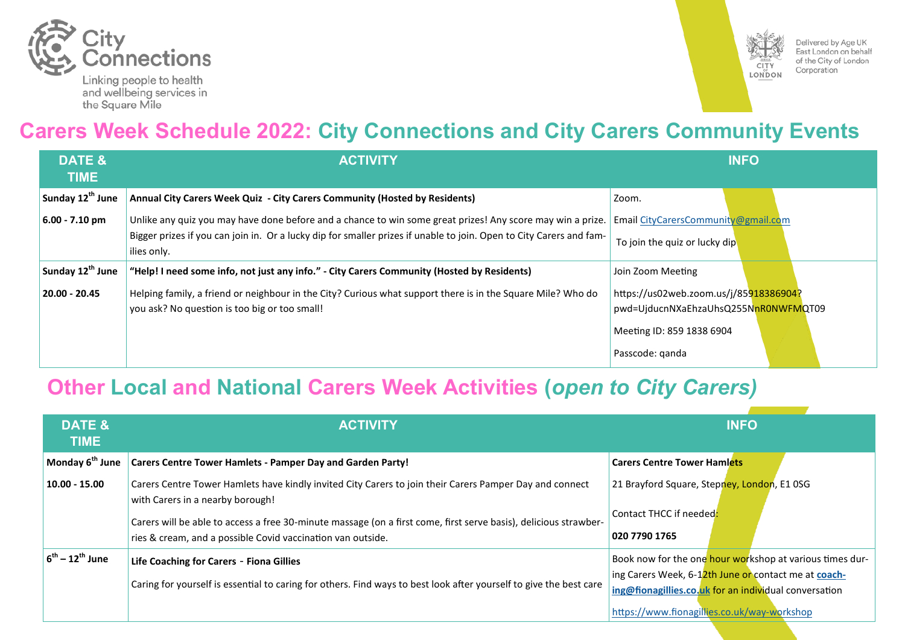



Delivered by Age UK East London on behalf of the City of London Corporation

# **Carers Week Schedule 2022: City Connections and City Carers Community Events**

| DATE &<br><b>TIME</b>        | <b>ACTIVITY</b>                                                                                                                                                                                                                                  | <b>INFO</b>                                                                                                                    |
|------------------------------|--------------------------------------------------------------------------------------------------------------------------------------------------------------------------------------------------------------------------------------------------|--------------------------------------------------------------------------------------------------------------------------------|
| Sunday 12 <sup>th</sup> June | Annual City Carers Week Quiz - City Carers Community (Hosted by Residents)                                                                                                                                                                       | Zoom.                                                                                                                          |
| $6.00 - 7.10$ pm             | Unlike any quiz you may have done before and a chance to win some great prizes! Any score may win a prize.<br>Bigger prizes if you can join in. Or a lucky dip for smaller prizes if unable to join. Open to City Carers and fam-<br>ilies only. | Email CityCarersCommunity@gmail.com<br>To join the quiz or lucky dip                                                           |
| Sunday 12 <sup>th</sup> June | "Help! I need some info, not just any info." - City Carers Community (Hosted by Residents)                                                                                                                                                       | Join Zoom Meeting                                                                                                              |
| 20.00 - 20.45                | Helping family, a friend or neighbour in the City? Curious what support there is in the Square Mile? Who do<br>you ask? No question is too big or too small!                                                                                     | https://us02web.zoom.us/j/85918386904?<br>pwd=UjducnNXaEhzaUhsQ255NnR0NWFMQT09<br>Meeting ID: 859 1838 6904<br>Passcode: ganda |

# **Other Local and National Carers Week Activities (***open to City Carers)*

| <b>DATE &amp;</b><br><b>TIME</b> | <b>ACTIVITY</b>                                                                                                                                                                 | <b>INFO</b>                                                                                                                                                               |
|----------------------------------|---------------------------------------------------------------------------------------------------------------------------------------------------------------------------------|---------------------------------------------------------------------------------------------------------------------------------------------------------------------------|
| Monday 6 <sup>th</sup> June      | <b>Carers Centre Tower Hamlets - Pamper Day and Garden Party!</b>                                                                                                               | <b>Carers Centre Tower Hamlets</b>                                                                                                                                        |
| $10.00 - 15.00$                  | Carers Centre Tower Hamlets have kindly invited City Carers to join their Carers Pamper Day and connect<br>with Carers in a nearby borough!                                     | 21 Brayford Square, Stepney, London, E1 0SG                                                                                                                               |
|                                  | Carers will be able to access a free 30-minute massage (on a first come, first serve basis), delicious strawber-<br>ries & cream, and a possible Covid vaccination van outside. | Contact THCC if needed:<br>020 7790 1765                                                                                                                                  |
| $6^{th} - 12^{th}$ June          | Life Coaching for Carers - Fiona Gillies<br>Caring for yourself is essential to caring for others. Find ways to best look after yourself to give the best care                  | Book now for the one hour workshop at various times dur-<br>ing Carers Week, 6-12th June or contact me at coach-<br>ing@fionagillies.co.uk for an individual conversation |
|                                  |                                                                                                                                                                                 | https://www.fionagillies.co.uk/way-workshop                                                                                                                               |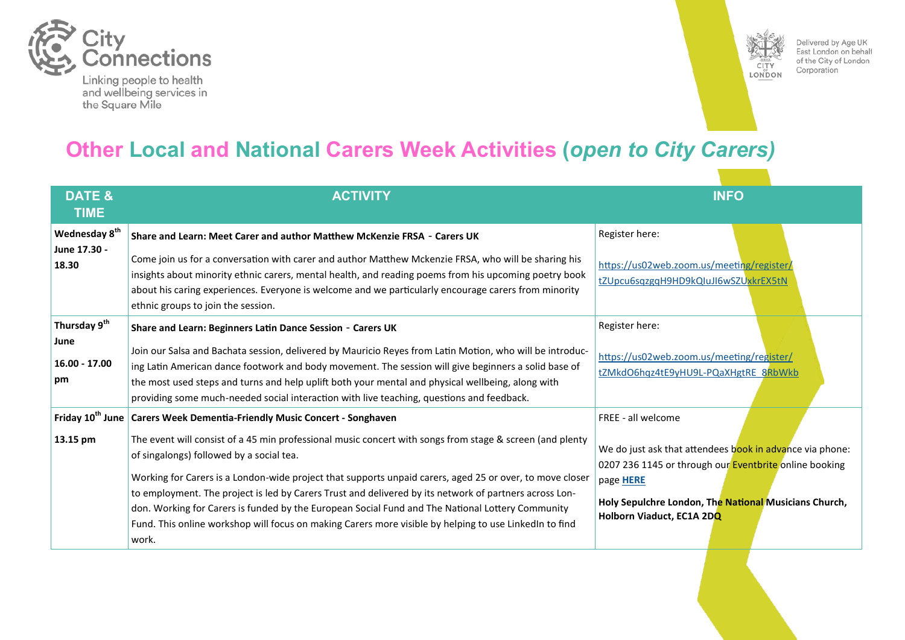



Delivered by Age UK East London on behalf of the City of London Corporation

# **Other Local and National Carers Week Activities (***open to City Carers)*

| <b>DATE &amp;</b><br><b>TIME</b>                        | <b>ACTIVITY</b>                                                                                                                                                                                                                                                                                                                                                                                                                                                                                                                                                                                                                                                                             | <b>INFO</b>                                                                                                                                                                                                                                 |
|---------------------------------------------------------|---------------------------------------------------------------------------------------------------------------------------------------------------------------------------------------------------------------------------------------------------------------------------------------------------------------------------------------------------------------------------------------------------------------------------------------------------------------------------------------------------------------------------------------------------------------------------------------------------------------------------------------------------------------------------------------------|---------------------------------------------------------------------------------------------------------------------------------------------------------------------------------------------------------------------------------------------|
| Wednesday 8 <sup>th</sup><br>June 17.30 -<br>18.30      | Share and Learn: Meet Carer and author Matthew McKenzie FRSA - Carers UK<br>Come join us for a conversation with carer and author Matthew Mckenzie FRSA, who will be sharing his<br>insights about minority ethnic carers, mental health, and reading poems from his upcoming poetry book<br>about his caring experiences. Everyone is welcome and we particularly encourage carers from minority<br>ethnic groups to join the session.                                                                                                                                                                                                                                                     | Register here:<br>https://us02web.zoom.us/meeting/register/<br>tZUpcu6sqzgqH9HD9kQIuJI6wSZUxkrEX5tN                                                                                                                                         |
| Thursday 9 <sup>th</sup><br>June<br>16.00 - 17.00<br>pm | Share and Learn: Beginners Latin Dance Session - Carers UK<br>Join our Salsa and Bachata session, delivered by Mauricio Reyes from Latin Motion, who will be introduc-<br>ing Latin American dance footwork and body movement. The session will give beginners a solid base of<br>the most used steps and turns and help uplift both your mental and physical wellbeing, along with<br>providing some much-needed social interaction with live teaching, questions and feedback.                                                                                                                                                                                                            | Register here:<br>https://us02web.zoom.us/meeting/register/<br>tZMkdO6hqz4tE9yHU9L-PQaXHgtRE_8RbWkb                                                                                                                                         |
| 13.15 pm                                                | Friday 10 <sup>th</sup> June   Carers Week Dementia-Friendly Music Concert - Songhaven<br>The event will consist of a 45 min professional music concert with songs from stage & screen (and plenty<br>of singalongs) followed by a social tea.<br>Working for Carers is a London-wide project that supports unpaid carers, aged 25 or over, to move closer<br>to employment. The project is led by Carers Trust and delivered by its network of partners across Lon-<br>don. Working for Carers is funded by the European Social Fund and The National Lottery Community<br>Fund. This online workshop will focus on making Carers more visible by helping to use LinkedIn to find<br>work. | FREE - all welcome<br>We do just ask that attendees book in advance via phone:<br>0207 236 1145 or through our Eventbrite online booking<br>page HERE<br>Holy Sepulchre London, The National Musicians Church,<br>Holborn Viaduct, EC1A 2DQ |